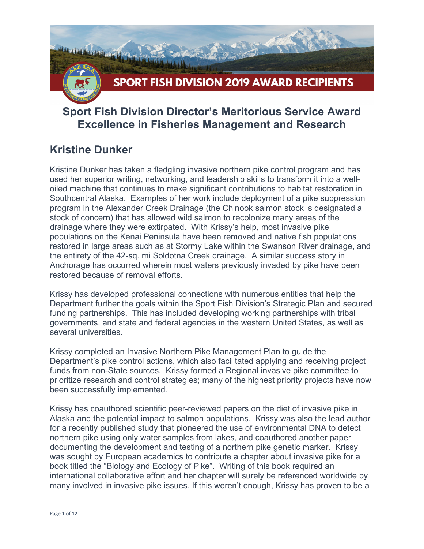

## **Sport Fish Division Director's Meritorious Service Award Excellence in Fisheries Management and Research**

#### **Kristine Dunker**

Kristine Dunker has taken a fledgling invasive northern pike control program and has used her superior writing, networking, and leadership skills to transform it into a welloiled machine that continues to make significant contributions to habitat restoration in Southcentral Alaska. Examples of her work include deployment of a pike suppression program in the Alexander Creek Drainage (the Chinook salmon stock is designated a stock of concern) that has allowed wild salmon to recolonize many areas of the drainage where they were extirpated. With Krissy's help, most invasive pike populations on the Kenai Peninsula have been removed and native fish populations restored in large areas such as at Stormy Lake within the Swanson River drainage, and the entirety of the 42-sq. mi Soldotna Creek drainage. A similar success story in Anchorage has occurred wherein most waters previously invaded by pike have been restored because of removal efforts.

Krissy has developed professional connections with numerous entities that help the Department further the goals within the Sport Fish Division's Strategic Plan and secured funding partnerships. This has included developing working partnerships with tribal governments, and state and federal agencies in the western United States, as well as several universities.

Krissy completed an Invasive Northern Pike Management Plan to guide the Department's pike control actions, which also facilitated applying and receiving project funds from non-State sources. Krissy formed a Regional invasive pike committee to prioritize research and control strategies; many of the highest priority projects have now been successfully implemented.

Krissy has coauthored scientific peer-reviewed papers on the diet of invasive pike in Alaska and the potential impact to salmon populations. Krissy was also the lead author for a recently published study that pioneered the use of environmental DNA to detect northern pike using only water samples from lakes, and coauthored another paper documenting the development and testing of a northern pike genetic marker. Krissy was sought by European academics to contribute a chapter about invasive pike for a book titled the "Biology and Ecology of Pike". Writing of this book required an international collaborative effort and her chapter will surely be referenced worldwide by many involved in invasive pike issues. If this weren't enough, Krissy has proven to be a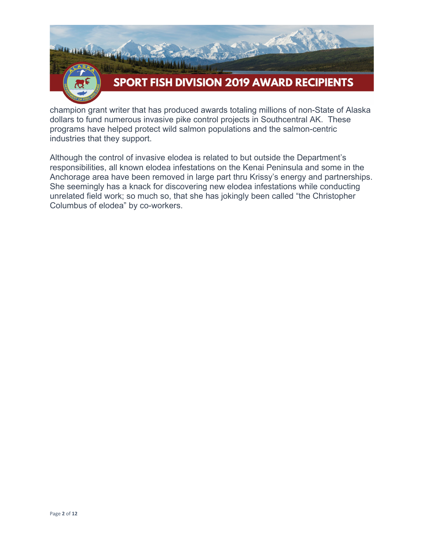

champion grant writer that has produced awards totaling millions of non-State of Alaska dollars to fund numerous invasive pike control projects in Southcentral AK. These programs have helped protect wild salmon populations and the salmon-centric industries that they support.

Although the control of invasive elodea is related to but outside the Department's responsibilities, all known elodea infestations on the Kenai Peninsula and some in the Anchorage area have been removed in large part thru Krissy's energy and partnerships. She seemingly has a knack for discovering new elodea infestations while conducting unrelated field work; so much so, that she has jokingly been called "the Christopher Columbus of elodea" by co-workers.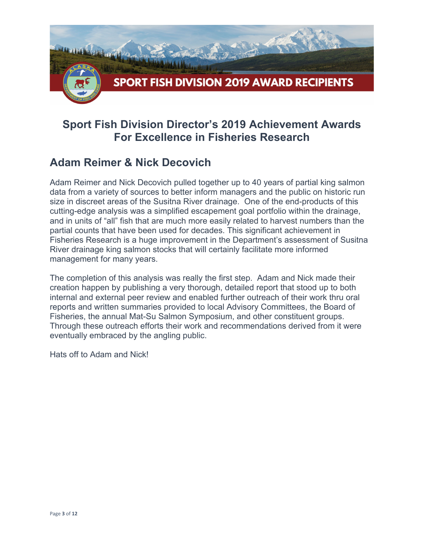

## **Sport Fish Division Director's 2019 Achievement Awards For Excellence in Fisheries Research**

#### **Adam Reimer & Nick Decovich**

Adam Reimer and Nick Decovich pulled together up to 40 years of partial king salmon data from a variety of sources to better inform managers and the public on historic run size in discreet areas of the Susitna River drainage. One of the end-products of this cutting-edge analysis was a simplified escapement goal portfolio within the drainage, and in units of "all" fish that are much more easily related to harvest numbers than the partial counts that have been used for decades. This significant achievement in Fisheries Research is a huge improvement in the Department's assessment of Susitna River drainage king salmon stocks that will certainly facilitate more informed management for many years.

The completion of this analysis was really the first step. Adam and Nick made their creation happen by publishing a very thorough, detailed report that stood up to both internal and external peer review and enabled further outreach of their work thru oral reports and written summaries provided to local Advisory Committees, the Board of Fisheries, the annual Mat-Su Salmon Symposium, and other constituent groups. Through these outreach efforts their work and recommendations derived from it were eventually embraced by the angling public.

Hats off to Adam and Nick!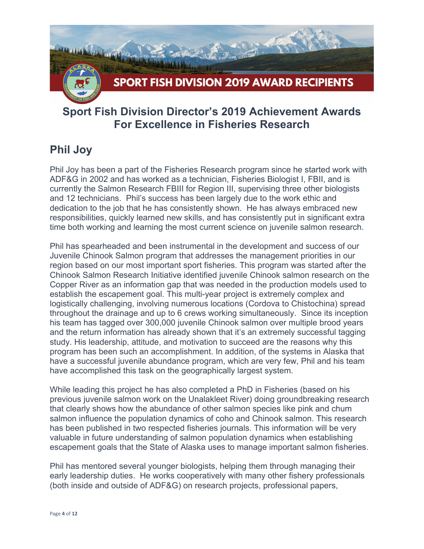

#### **Sport Fish Division Director's 2019 Achievement Awards For Excellence in Fisheries Research**

## **Phil Joy**

Phil Joy has been a part of the Fisheries Research program since he started work with ADF&G in 2002 and has worked as a technician, Fisheries Biologist I, FBII, and is currently the Salmon Research FBIII for Region III, supervising three other biologists and 12 technicians. Phil's success has been largely due to the work ethic and dedication to the job that he has consistently shown. He has always embraced new responsibilities, quickly learned new skills, and has consistently put in significant extra time both working and learning the most current science on juvenile salmon research.

Phil has spearheaded and been instrumental in the development and success of our Juvenile Chinook Salmon program that addresses the management priorities in our region based on our most important sport fisheries. This program was started after the Chinook Salmon Research Initiative identified juvenile Chinook salmon research on the Copper River as an information gap that was needed in the production models used to establish the escapement goal. This multi-year project is extremely complex and logistically challenging, involving numerous locations (Cordova to Chistochina) spread throughout the drainage and up to 6 crews working simultaneously. Since its inception his team has tagged over 300,000 juvenile Chinook salmon over multiple brood years and the return information has already shown that it's an extremely successful tagging study. His leadership, attitude, and motivation to succeed are the reasons why this program has been such an accomplishment. In addition, of the systems in Alaska that have a successful juvenile abundance program, which are very few, Phil and his team have accomplished this task on the geographically largest system.

While leading this project he has also completed a PhD in Fisheries (based on his previous juvenile salmon work on the Unalakleet River) doing groundbreaking research that clearly shows how the abundance of other salmon species like pink and chum salmon influence the population dynamics of coho and Chinook salmon. This research has been published in two respected fisheries journals. This information will be very valuable in future understanding of salmon population dynamics when establishing escapement goals that the State of Alaska uses to manage important salmon fisheries.

Phil has mentored several younger biologists, helping them through managing their early leadership duties. He works cooperatively with many other fishery professionals (both inside and outside of ADF&G) on research projects, professional papers,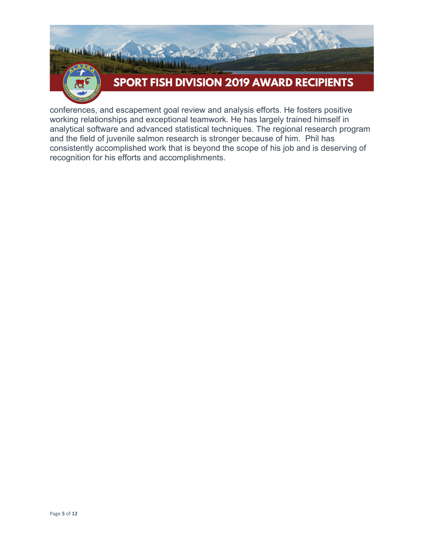

conferences, and escapement goal review and analysis efforts. He fosters positive working relationships and exceptional teamwork. He has largely trained himself in analytical software and advanced statistical techniques. The regional research program and the field of juvenile salmon research is stronger because of him. Phil has consistently accomplished work that is beyond the scope of his job and is deserving of recognition for his efforts and accomplishments.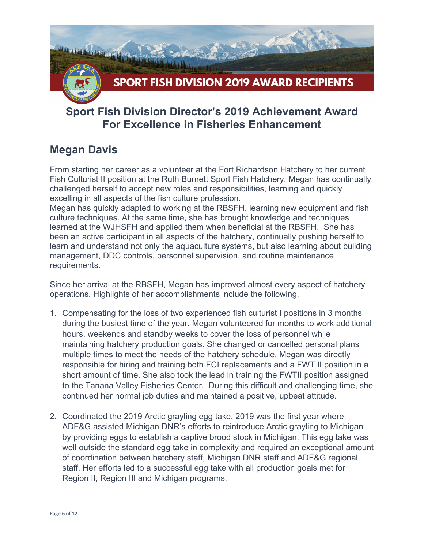

### **Sport Fish Division Director's 2019 Achievement Award For Excellence in Fisheries Enhancement**

#### **Megan Davis**

From starting her career as a volunteer at the Fort Richardson Hatchery to her current Fish Culturist II position at the Ruth Burnett Sport Fish Hatchery, Megan has continually challenged herself to accept new roles and responsibilities, learning and quickly excelling in all aspects of the fish culture profession.

Megan has quickly adapted to working at the RBSFH, learning new equipment and fish culture techniques. At the same time, she has brought knowledge and techniques learned at the WJHSFH and applied them when beneficial at the RBSFH. She has been an active participant in all aspects of the hatchery, continually pushing herself to learn and understand not only the aquaculture systems, but also learning about building management, DDC controls, personnel supervision, and routine maintenance requirements.

Since her arrival at the RBSFH, Megan has improved almost every aspect of hatchery operations. Highlights of her accomplishments include the following.

- 1. Compensating for the loss of two experienced fish culturist I positions in 3 months during the busiest time of the year. Megan volunteered for months to work additional hours, weekends and standby weeks to cover the loss of personnel while maintaining hatchery production goals. She changed or cancelled personal plans multiple times to meet the needs of the hatchery schedule. Megan was directly responsible for hiring and training both FCI replacements and a FWT II position in a short amount of time. She also took the lead in training the FWTII position assigned to the Tanana Valley Fisheries Center. During this difficult and challenging time, she continued her normal job duties and maintained a positive, upbeat attitude.
- 2. Coordinated the 2019 Arctic grayling egg take. 2019 was the first year where ADF&G assisted Michigan DNR's efforts to reintroduce Arctic grayling to Michigan by providing eggs to establish a captive brood stock in Michigan. This egg take was well outside the standard egg take in complexity and required an exceptional amount of coordination between hatchery staff, Michigan DNR staff and ADF&G regional staff. Her efforts led to a successful egg take with all production goals met for Region II, Region III and Michigan programs.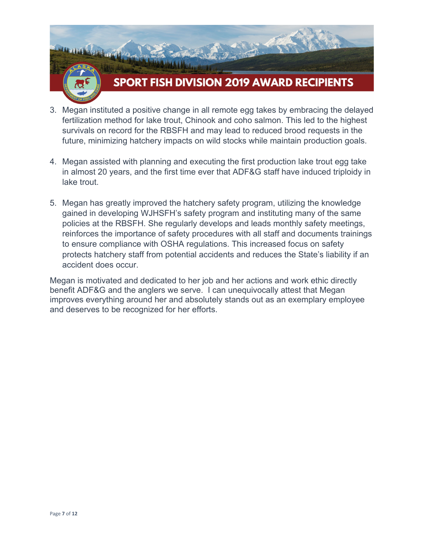

# **SPORT FISH DIVISION 2019 AWARD RECIPIENTS**

- 3. Megan instituted a positive change in all remote egg takes by embracing the delayed fertilization method for lake trout, Chinook and coho salmon. This led to the highest survivals on record for the RBSFH and may lead to reduced brood requests in the future, minimizing hatchery impacts on wild stocks while maintain production goals.
- 4. Megan assisted with planning and executing the first production lake trout egg take in almost 20 years, and the first time ever that ADF&G staff have induced triploidy in lake trout.
- 5. Megan has greatly improved the hatchery safety program, utilizing the knowledge gained in developing WJHSFH's safety program and instituting many of the same policies at the RBSFH. She regularly develops and leads monthly safety meetings, reinforces the importance of safety procedures with all staff and documents trainings to ensure compliance with OSHA regulations. This increased focus on safety protects hatchery staff from potential accidents and reduces the State's liability if an accident does occur.

Megan is motivated and dedicated to her job and her actions and work ethic directly benefit ADF&G and the anglers we serve. I can unequivocally attest that Megan improves everything around her and absolutely stands out as an exemplary employee and deserves to be recognized for her efforts.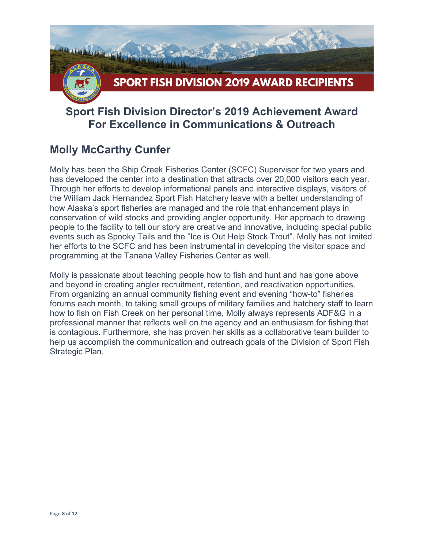

## **Sport Fish Division Director's 2019 Achievement Award For Excellence in Communications & Outreach**

## **Molly McCarthy Cunfer**

Molly has been the Ship Creek Fisheries Center (SCFC) Supervisor for two years and has developed the center into a destination that attracts over 20,000 visitors each year. Through her efforts to develop informational panels and interactive displays, visitors of the William Jack Hernandez Sport Fish Hatchery leave with a better understanding of how Alaska's sport fisheries are managed and the role that enhancement plays in conservation of wild stocks and providing angler opportunity. Her approach to drawing people to the facility to tell our story are creative and innovative, including special public events such as Spooky Tails and the "Ice is Out Help Stock Trout". Molly has not limited her efforts to the SCFC and has been instrumental in developing the visitor space and programming at the Tanana Valley Fisheries Center as well.

Molly is passionate about teaching people how to fish and hunt and has gone above and beyond in creating angler recruitment, retention, and reactivation opportunities. From organizing an annual community fishing event and evening "how-to" fisheries forums each month, to taking small groups of military families and hatchery staff to learn how to fish on Fish Creek on her personal time, Molly always represents ADF&G in a professional manner that reflects well on the agency and an enthusiasm for fishing that is contagious. Furthermore, she has proven her skills as a collaborative team builder to help us accomplish the communication and outreach goals of the Division of Sport Fish Strategic Plan.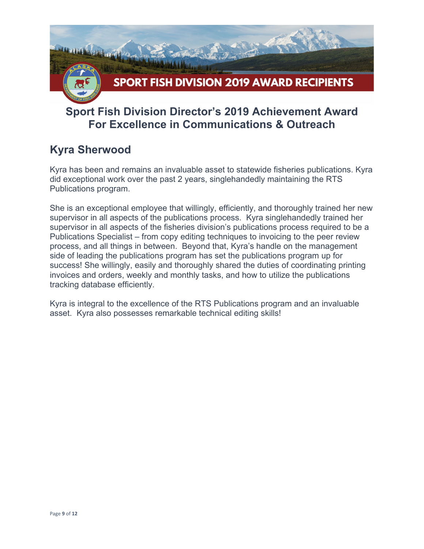

## **Sport Fish Division Director's 2019 Achievement Award For Excellence in Communications & Outreach**

#### **Kyra Sherwood**

Kyra has been and remains an invaluable asset to statewide fisheries publications. Kyra did exceptional work over the past 2 years, singlehandedly maintaining the RTS Publications program.

She is an exceptional employee that willingly, efficiently, and thoroughly trained her new supervisor in all aspects of the publications process. Kyra singlehandedly trained her supervisor in all aspects of the fisheries division's publications process required to be a Publications Specialist – from copy editing techniques to invoicing to the peer review process, and all things in between. Beyond that, Kyra's handle on the management side of leading the publications program has set the publications program up for success! She willingly, easily and thoroughly shared the duties of coordinating printing invoices and orders, weekly and monthly tasks, and how to utilize the publications tracking database efficiently.

Kyra is integral to the excellence of the RTS Publications program and an invaluable asset. Kyra also possesses remarkable technical editing skills!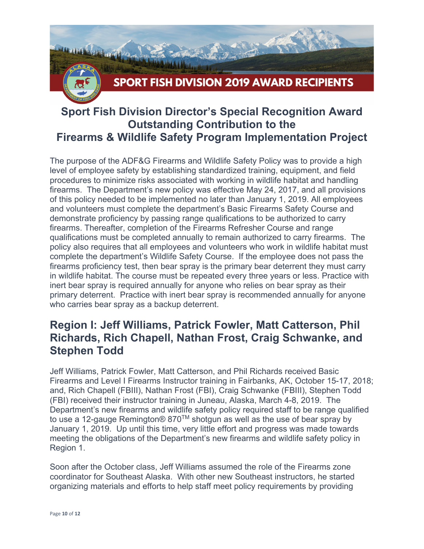

## **Sport Fish Division Director's Special Recognition Award Outstanding Contribution to the Firearms & Wildlife Safety Program Implementation Project**

The purpose of the ADF&G Firearms and Wildlife Safety Policy was to provide a high level of employee safety by establishing standardized training, equipment, and field procedures to minimize risks associated with working in wildlife habitat and handling firearms. The Department's new policy was effective May 24, 2017, and all provisions of this policy needed to be implemented no later than January 1, 2019. All employees and volunteers must complete the department's Basic Firearms Safety Course and demonstrate proficiency by passing range qualifications to be authorized to carry firearms. Thereafter, completion of the Firearms Refresher Course and range qualifications must be completed annually to remain authorized to carry firearms. The policy also requires that all employees and volunteers who work in wildlife habitat must complete the department's Wildlife Safety Course. If the employee does not pass the firearms proficiency test, then bear spray is the primary bear deterrent they must carry in wildlife habitat. The course must be repeated every three years or less. Practice with inert bear spray is required annually for anyone who relies on bear spray as their primary deterrent. Practice with inert bear spray is recommended annually for anyone who carries bear spray as a backup deterrent.

#### **Region I: Jeff Williams, Patrick Fowler, Matt Catterson, Phil Richards, Rich Chapell, Nathan Frost, Craig Schwanke, and Stephen Todd**

Jeff Williams, Patrick Fowler, Matt Catterson, and Phil Richards received Basic Firearms and Level I Firearms Instructor training in Fairbanks, AK, October 15-17, 2018; and, Rich Chapell (FBIII), Nathan Frost (FBI), Craig Schwanke (FBIII), Stephen Todd (FBI) received their instructor training in Juneau, Alaska, March 4-8, 2019. The Department's new firearms and wildlife safety policy required staff to be range qualified to use a 12-gauge Remington® 870™ shotgun as well as the use of bear spray by January 1, 2019. Up until this time, very little effort and progress was made towards meeting the obligations of the Department's new firearms and wildlife safety policy in Region 1.

Soon after the October class, Jeff Williams assumed the role of the Firearms zone coordinator for Southeast Alaska. With other new Southeast instructors, he started organizing materials and efforts to help staff meet policy requirements by providing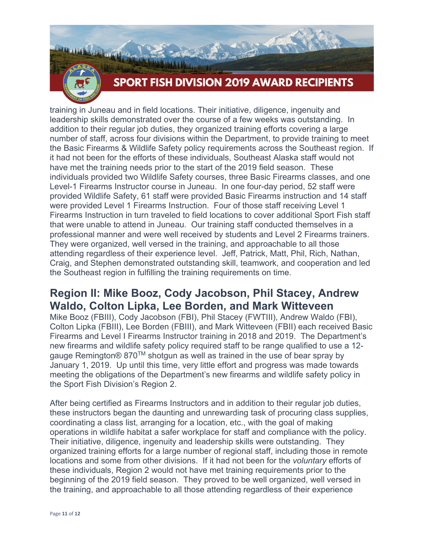

# **SPORT FISH DIVISION 2019 AWARD RECIPIENTS**

training in Juneau and in field locations. Their initiative, diligence, ingenuity and leadership skills demonstrated over the course of a few weeks was outstanding. In addition to their regular job duties, they organized training efforts covering a large number of staff, across four divisions within the Department, to provide training to meet the Basic Firearms & Wildlife Safety policy requirements across the Southeast region. If it had not been for the efforts of these individuals, Southeast Alaska staff would not have met the training needs prior to the start of the 2019 field season. These individuals provided two Wildlife Safety courses, three Basic Firearms classes, and one Level-1 Firearms Instructor course in Juneau. In one four-day period, 52 staff were provided Wildlife Safety, 61 staff were provided Basic Firearms instruction and 14 staff were provided Level 1 Firearms Instruction. Four of those staff receiving Level 1 Firearms Instruction in turn traveled to field locations to cover additional Sport Fish staff that were unable to attend in Juneau. Our training staff conducted themselves in a professional manner and were well received by students and Level 2 Firearms trainers. They were organized, well versed in the training, and approachable to all those attending regardless of their experience level. Jeff, Patrick, Matt, Phil, Rich, Nathan, Craig, and Stephen demonstrated outstanding skill, teamwork, and cooperation and led the Southeast region in fulfilling the training requirements on time.

#### **Region II: Mike Booz, Cody Jacobson, Phil Stacey, Andrew Waldo, Colton Lipka, Lee Borden, and Mark Witteveen**

Mike Booz (FBIII), Cody Jacobson (FBI), Phil Stacey (FWTIII), Andrew Waldo (FBI), Colton Lipka (FBIII), Lee Borden (FBIII), and Mark Witteveen (FBII) each received Basic Firearms and Level I Firearms Instructor training in 2018 and 2019. The Department's new firearms and wildlife safety policy required staff to be range qualified to use a 12 gauge Remington® 870™ shotgun as well as trained in the use of bear spray by January 1, 2019. Up until this time, very little effort and progress was made towards meeting the obligations of the Department's new firearms and wildlife safety policy in the Sport Fish Division's Region 2.

After being certified as Firearms Instructors and in addition to their regular job duties, these instructors began the daunting and unrewarding task of procuring class supplies, coordinating a class list, arranging for a location, etc., with the goal of making operations in wildlife habitat a safer workplace for staff and compliance with the policy. Their initiative, diligence, ingenuity and leadership skills were outstanding. They organized training efforts for a large number of regional staff, including those in remote locations and some from other divisions. If it had not been for the *voluntary* efforts of these individuals, Region 2 would not have met training requirements prior to the beginning of the 2019 field season. They proved to be well organized, well versed in the training, and approachable to all those attending regardless of their experience